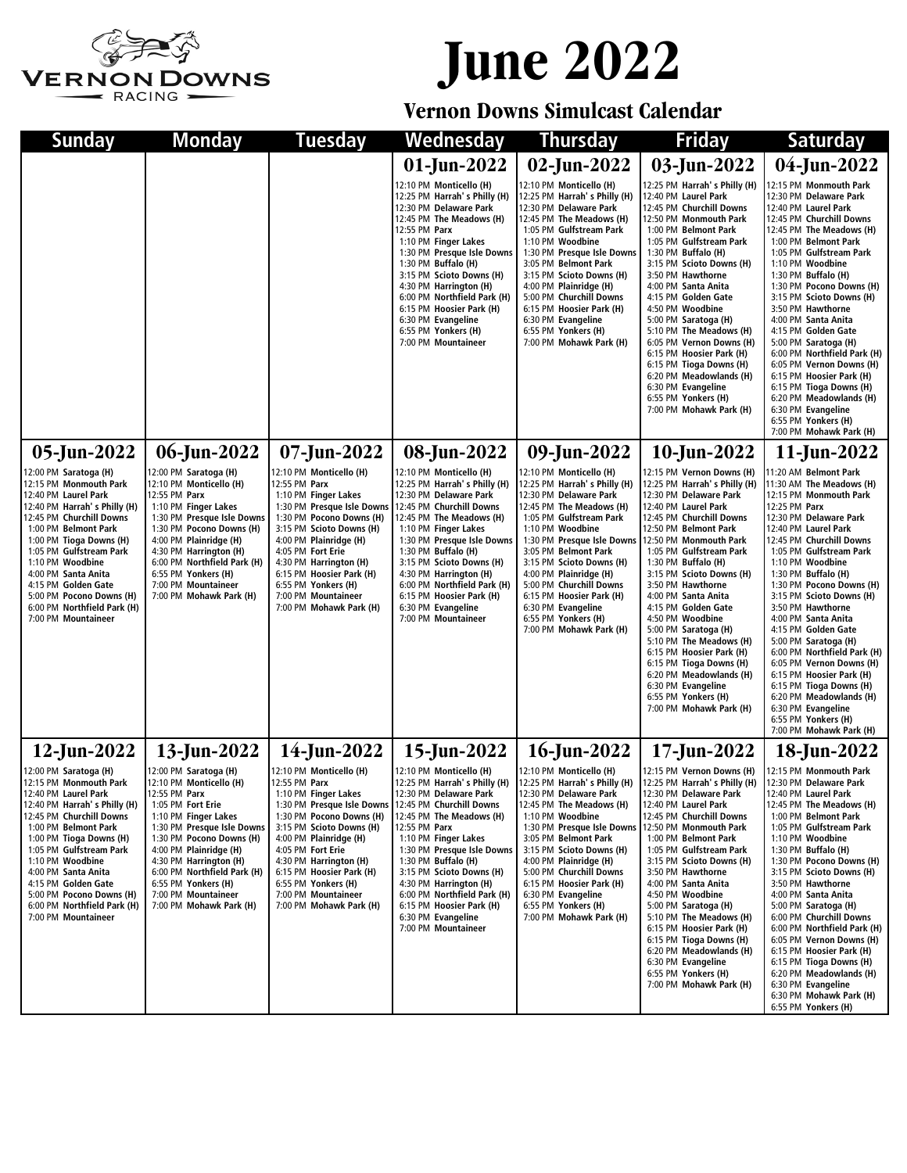

## **June 2022**

## **Vernon Downs Simulcast Calendar**

| Sunday                                                                                                                                                                                                                                                                                                                                                                | <b>Monday</b>                                                                                                                                                                                                                                                                                                                               | Tuesday                                                                                                                                                                                                                                                                                                                              | Wednesday                                                                                                                                                                                                                                                                                                                                                                                             | <b>Thursday</b>                                                                                                                                                                                                                                                                                                                                                                                         | <b>Friday</b>                                                                                                                                                                                                                                                                                                                                                                                                                                                                                                                                                                | <b>Saturday</b>                                                                                                                                                                                                                                                                                                                                                                                                                                                                                                                                                                                                          |
|-----------------------------------------------------------------------------------------------------------------------------------------------------------------------------------------------------------------------------------------------------------------------------------------------------------------------------------------------------------------------|---------------------------------------------------------------------------------------------------------------------------------------------------------------------------------------------------------------------------------------------------------------------------------------------------------------------------------------------|--------------------------------------------------------------------------------------------------------------------------------------------------------------------------------------------------------------------------------------------------------------------------------------------------------------------------------------|-------------------------------------------------------------------------------------------------------------------------------------------------------------------------------------------------------------------------------------------------------------------------------------------------------------------------------------------------------------------------------------------------------|---------------------------------------------------------------------------------------------------------------------------------------------------------------------------------------------------------------------------------------------------------------------------------------------------------------------------------------------------------------------------------------------------------|------------------------------------------------------------------------------------------------------------------------------------------------------------------------------------------------------------------------------------------------------------------------------------------------------------------------------------------------------------------------------------------------------------------------------------------------------------------------------------------------------------------------------------------------------------------------------|--------------------------------------------------------------------------------------------------------------------------------------------------------------------------------------------------------------------------------------------------------------------------------------------------------------------------------------------------------------------------------------------------------------------------------------------------------------------------------------------------------------------------------------------------------------------------------------------------------------------------|
|                                                                                                                                                                                                                                                                                                                                                                       |                                                                                                                                                                                                                                                                                                                                             |                                                                                                                                                                                                                                                                                                                                      | 01-Jun-2022                                                                                                                                                                                                                                                                                                                                                                                           | 02-Jun-2022                                                                                                                                                                                                                                                                                                                                                                                             | 03-Jun-2022                                                                                                                                                                                                                                                                                                                                                                                                                                                                                                                                                                  | 04-Jun-2022                                                                                                                                                                                                                                                                                                                                                                                                                                                                                                                                                                                                              |
|                                                                                                                                                                                                                                                                                                                                                                       |                                                                                                                                                                                                                                                                                                                                             |                                                                                                                                                                                                                                                                                                                                      | 12:10 PM Monticello (H)<br>12:25 PM Harrah's Philly (H)<br>12:30 PM Delaware Park<br>12:45 PM The Meadows (H)<br>12:55 PM Parx<br>1:10 PM Finger Lakes<br>1:30 PM Presque Isle Downs<br>1:30 PM Buffalo (H)<br>3:15 PM Scioto Downs (H)<br>4:30 PM Harrington (H)<br>6:00 PM Northfield Park (H)<br>6:15 PM Hoosier Park (H)<br>6:30 PM Evangeline<br>6:55 PM Yonkers (H)<br>7:00 PM Mountaineer      | 12:10 PM Monticello (H)<br>12:25 PM Harrah's Philly (H)<br>12:30 PM Delaware Park<br>12:45 PM The Meadows (H)<br>1:05 PM Gulfstream Park<br>1:10 PM Woodbine<br>1:30 PM Presque Isle Downs<br>3:05 PM Belmont Park<br>3:15 PM Scioto Downs (H)<br>4:00 PM Plainridge (H)<br>5:00 PM Churchill Downs<br>6:15 PM Hoosier Park (H)<br>6:30 PM Evangeline<br>6:55 PM Yonkers (H)<br>7:00 PM Mohawk Park (H) | 12:25 PM Harrah's Philly (H)<br>12:40 PM Laurel Park<br>12:45 PM Churchill Downs<br>12:50 PM Monmouth Park<br>1:00 PM Belmont Park<br>1:05 PM Gulfstream Park<br>1:30 PM Buffalo (H)<br>3:15 PM Scioto Downs (H)<br>3:50 PM Hawthorne<br>4:00 PM Santa Anita<br>4:15 PM Golden Gate<br>4:50 PM Woodbine<br>5:00 PM Saratoga (H)<br>5:10 PM The Meadows (H)<br>6:05 PM Vernon Downs (H)<br>6:15 PM Hoosier Park (H)<br>6:15 PM Tioga Downs (H)<br>6:20 PM Meadowlands (H)<br>6:30 PM Evangeline<br>6:55 PM Yonkers (H)<br>7:00 PM Mohawk Park (H)                             | 12:15 PM Monmouth Park<br>12:30 PM Delaware Park<br>12:40 PM Laurel Park<br>12:45 PM Churchill Downs<br>12:45 PM The Meadows (H)<br>1:00 PM Belmont Park<br>1:05 PM Gulfstream Park<br>1:10 PM Woodbine<br>1:30 PM Buffalo (H)<br>1:30 PM Pocono Downs (H)<br>3:15 PM Scioto Downs (H)<br>3:50 PM Hawthorne<br>4:00 PM Santa Anita<br>4:15 PM Golden Gate<br>5:00 PM Saratoga (H)<br>6:00 PM Northfield Park (H)<br>6:05 PM Vernon Downs (H)<br>6:15 PM Hoosier Park (H)<br>6:15 PM Tioga Downs (H)<br>6:20 PM Meadowlands (H)<br>6:30 PM Evangeline<br>6:55 PM Yonkers (H)<br>7:00 PM Mohawk Park (H)                   |
| 05-Jun-2022                                                                                                                                                                                                                                                                                                                                                           | 06-Jun-2022                                                                                                                                                                                                                                                                                                                                 | $07$ -Jun-2022                                                                                                                                                                                                                                                                                                                       | 08-Jun-2022                                                                                                                                                                                                                                                                                                                                                                                           | 09-Jun-2022                                                                                                                                                                                                                                                                                                                                                                                             | $10$ -Jun-2022                                                                                                                                                                                                                                                                                                                                                                                                                                                                                                                                                               | 11-Jun-2022                                                                                                                                                                                                                                                                                                                                                                                                                                                                                                                                                                                                              |
| 12:00 PM Saratoga (H)<br>12:15 PM Monmouth Park<br>12:40 PM Laurel Park<br>12:40 PM Harrah's Philly (H)<br>12:45 PM Churchill Downs<br>1:00 PM Belmont Park<br>1:00 PM Tioga Downs (H)<br>1:05 PM Gulfstream Park<br>1:10 PM Woodbine<br>4:00 PM Santa Anita<br>4:15 PM Golden Gate<br>5:00 PM Pocono Downs (H)<br>6:00 PM Northfield Park (H)<br>7:00 PM Mountaineer | 12:00 PM Saratoga (H)<br>12:10 PM Monticello (H)<br>12:55 PM Parx<br>1:10 PM Finger Lakes<br>1:30 PM Presque Isle Downs<br>1:30 PM Pocono Downs (H)<br>4:00 PM Plainridge (H)<br>4:30 PM Harrington (H)<br>6:00 PM Northfield Park (H)<br>6:55 PM Yonkers (H)<br>7:00 PM Mountaineer<br>7:00 PM Mohawk Park (H)                             | 12:10 PM Monticello (H)<br>12:55 PM Parx<br>1:10 PM Finger Lakes<br>1:30 PM Presque Isle Downs<br>1:30 PM Pocono Downs (H)<br>3:15 PM Scioto Downs (H)<br>4:00 PM Plainridge (H)<br>4:05 PM Fort Erie<br>4:30 PM Harrington (H)<br>6:15 PM Hoosier Park (H)<br>6:55 PM Yonkers (H)<br>7:00 PM Mountaineer<br>7:00 PM Mohawk Park (H) | 12:10 PM Monticello (H)<br>12:25 PM Harrah's Philly (H)<br>12:30 PM Delaware Park<br>12:45 PM Churchill Downs<br>12:45 PM The Meadows (H)<br>1:10 PM Finger Lakes<br>1:30 PM Presque Isle Downs<br>1:30 PM Buffalo (H)<br>3:15 PM Scioto Downs (H)<br>4:30 PM Harrington (H)<br>6:00 PM Northfield Park (H)<br>6:15 PM Hoosier Park (H)<br>6:30 PM Evangeline<br>7:00 PM Mountaineer                  | 12:10 PM Monticello (H)<br>12:25 PM Harrah's Philly (H)<br>12:30 PM Delaware Park<br>12:45 PM The Meadows (H)<br>1:05 PM Gulfstream Park<br>1:10 PM Woodbine<br>1:30 PM Presque Isle Downs<br>3:05 PM Belmont Park<br>3:15 PM Scioto Downs (H)<br>4:00 PM Plainridge (H)<br>5:00 PM Churchill Downs<br>6:15 PM Hoosier Park (H)<br>6:30 PM Evangeline<br>6:55 PM Yonkers (H)<br>7:00 PM Mohawk Park (H) | 12:15 PM Vernon Downs (H)<br>12:25 PM Harrah's Philly (H)<br>12:30 PM Delaware Park<br>12:40 PM Laurel Park<br>12:45 PM Churchill Downs<br>12:50 PM Belmont Park<br>12:50 PM Monmouth Park<br>1:05 PM Gulfstream Park<br>1:30 PM Buffalo (H)<br>3:15 PM Scioto Downs (H)<br>3:50 PM Hawthorne<br>4:00 PM Santa Anita<br>4:15 PM Golden Gate<br>4:50 PM Woodbine<br>5:00 PM Saratoga (H)<br>5:10 PM The Meadows (H)<br>6:15 PM Hoosier Park (H)<br>6:15 PM Tioga Downs (H)<br>6:20 PM Meadowlands (H)<br>6:30 PM Evangeline<br>6:55 PM Yonkers (H)<br>7:00 PM Mohawk Park (H) | 11:20 AM Belmont Park<br>11:30 AM The Meadows (H)<br>12:15 PM Monmouth Park<br>12:25 PM Parx<br>12:30 PM Delaware Park<br>12:40 PM Laurel Park<br>12:45 PM Churchill Downs<br>1:05 PM Gulfstream Park<br>1:10 PM Woodbine<br>1:30 PM Buffalo (H)<br>1:30 PM Pocono Downs (H)<br>3:15 PM Scioto Downs (H)<br>3:50 PM Hawthorne<br>4:00 PM Santa Anita<br>4:15 PM Golden Gate<br>5:00 PM Saratoga (H)<br>6:00 PM Northfield Park (H)<br>6:05 PM Vernon Downs (H)<br>6:15 PM Hoosier Park (H)<br>6:15 PM Tioga Downs (H)<br>6:20 PM Meadowlands (H)<br>6:30 PM Evangeline<br>6:55 PM Yonkers (H)<br>7:00 PM Mohawk Park (H) |
| 12-Jun-2022                                                                                                                                                                                                                                                                                                                                                           | 13-Jun-2022                                                                                                                                                                                                                                                                                                                                 | 14-Jun-2022                                                                                                                                                                                                                                                                                                                          | 15-Jun-2022                                                                                                                                                                                                                                                                                                                                                                                           | 16-Jun-2022                                                                                                                                                                                                                                                                                                                                                                                             | $17$ -Jun-2022                                                                                                                                                                                                                                                                                                                                                                                                                                                                                                                                                               | 18-Jun-2022                                                                                                                                                                                                                                                                                                                                                                                                                                                                                                                                                                                                              |
| 12:00 PM Saratoga (H)<br>12:15 PM Monmouth Park<br>12:40 PM Laurel Park<br>12:40 PM Harrah's Philly (H)<br>12:45 PM Churchill Downs<br>1:00 PM Belmont Park<br>1:00 PM Tioga Downs (H)<br>1:05 PM Gulfstream Park<br>1:10 PM Woodbine<br>4:00 PM Santa Anita<br>4:15 PM Golden Gate<br>5:00 PM Pocono Downs (H)<br>6:00 PM Northfield Park (H)<br>7:00 PM Mountaineer | 12:00 PM Saratoga (H)<br>12:10 PM Monticello (H)<br>12:55 PM <b>Parx</b><br>1:05 PM Fort Erie<br>1:10 PM Finger Lakes<br>1:30 PM Presque Isle Downs<br>1:30 PM Pocono Downs (H)<br>4:00 PM Plainridge (H)<br>4:30 PM Harrington (H)<br>6:00 PM Northfield Park (H)<br>6:55 PM Yonkers (H)<br>7:00 PM Mountaineer<br>7:00 PM Mohawk Park (H) | 12:10 PM Monticello (H)<br>12:55 PM Parx<br>1:10 PM Finger Lakes<br>1:30 PM Presque Isle Downs<br>1:30 PM Pocono Downs (H)<br>3:15 PM Scioto Downs (H)<br>4:00 PM Plainridge (H)<br>4:05 PM Fort Erie<br>4:30 PM Harrington (H)<br>6:15 PM Hoosier Park (H)<br>6:55 PM Yonkers (H)<br>7:00 PM Mountaineer<br>7:00 PM Mohawk Park (H) | 12:10 PM Monticello (H)<br>12:25 PM Harrah's Philly (H)<br>12:30 PM Delaware Park<br>12:45 PM Churchill Downs<br>12:45 PM The Meadows (H)<br>12:55 PM Parx<br>1:10 PM Finger Lakes<br>1:30 PM Presque Isle Downs<br>1:30 PM Buffalo (H)<br>3:15 PM Scioto Downs (H)<br>4:30 PM Harrington (H)<br>6:00 PM Northfield Park (H)<br>6:15 PM Hoosier Park (H)<br>6:30 PM Evangeline<br>7:00 PM Mountaineer | 12:10 PM Monticello (H)<br>12:25 PM Harrah's Philly (H)<br>12:30 PM Delaware Park<br>12:45 PM The Meadows (H)<br>1:10 PM Woodbine<br>1:30 PM Presque Isle Downs<br>3:05 PM Belmont Park<br>3:15 PM Scioto Downs (H)<br>4:00 PM Plainridge (H)<br>5:00 PM Churchill Downs<br>6:15 PM Hoosier Park (H)<br>6:30 PM Evangeline<br>6:55 PM Yonkers (H)<br>7:00 PM Mohawk Park (H)                            | 12:15 PM Vernon Downs (H)<br>12:25 PM Harrah's Philly (H)<br>12:30 PM Delaware Park<br>12:40 PM Laurel Park<br>12:45 PM Churchill Downs<br>12:50 PM Monmouth Park<br>1:00 PM Belmont Park<br>1:05 PM Gulfstream Park<br>3:15 PM Scioto Downs (H)<br>3:50 PM Hawthorne<br>4:00 PM Santa Anita<br>4:50 PM Woodbine<br>5:00 PM Saratoga (H)<br>5:10 PM The Meadows (H)<br>6:15 PM Hoosier Park (H)<br>6:15 PM Tioga Downs (H)<br>6:20 PM Meadowlands (H)<br>6:30 PM Evangeline<br>6:55 PM Yonkers (H)<br>7:00 PM Mohawk Park (H)                                                | 12:15 PM Monmouth Park<br>12:30 PM Delaware Park<br>12:40 PM Laurel Park<br>12:45 PM The Meadows (H)<br>1:00 PM Belmont Park<br>1:05 PM Gulfstream Park<br>1:10 PM Woodbine<br>1:30 PM Buffalo (H)<br>1:30 PM Pocono Downs (H)<br>3:15 PM Scioto Downs (H)<br>3:50 PM Hawthorne<br>4:00 PM Santa Anita<br>5:00 PM Saratoga (H)<br>6:00 PM Churchill Downs<br>6:00 PM Northfield Park (H)<br>6:05 PM Vernon Downs (H)<br>6:15 PM Hoosier Park (H)<br>6:15 PM Tioga Downs (H)<br>6:20 PM Meadowlands (H)<br>6:30 PM Evangeline<br>6:30 PM Mohawk Park (H)<br>6:55 PM Yonkers (H)                                           |